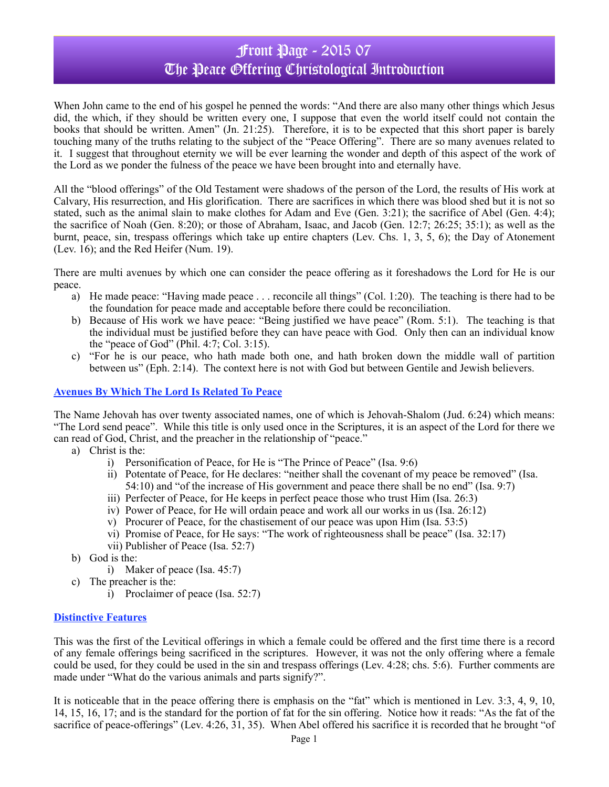# Front Page - 2015 07 The Peace Offering Christological Introduction

When John came to the end of his gospel he penned the words: "And there are also many other things which Jesus did, the which, if they should be written every one, I suppose that even the world itself could not contain the books that should be written. Amen" (Jn. 21:25). Therefore, it is to be expected that this short paper is barely touching many of the truths relating to the subject of the "Peace Offering". There are so many avenues related to it. I suggest that throughout eternity we will be ever learning the wonder and depth of this aspect of the work of the Lord as we ponder the fulness of the peace we have been brought into and eternally have.

All the "blood offerings" of the Old Testament were shadows of the person of the Lord, the results of His work at Calvary, His resurrection, and His glorification. There are sacrifices in which there was blood shed but it is not so stated, such as the animal slain to make clothes for Adam and Eve (Gen. 3:21); the sacrifice of Abel (Gen. 4:4); the sacrifice of Noah (Gen. 8:20); or those of Abraham, Isaac, and Jacob (Gen. 12:7; 26:25; 35:1); as well as the burnt, peace, sin, trespass offerings which take up entire chapters (Lev. Chs. 1, 3, 5, 6); the Day of Atonement (Lev. 16); and the Red Heifer (Num. 19).

There are multi avenues by which one can consider the peace offering as it foreshadows the Lord for He is our peace.

- a) He made peace: "Having made peace . . . reconcile all things" (Col. 1:20). The teaching is there had to be the foundation for peace made and acceptable before there could be reconciliation.
- b) Because of His work we have peace: "Being justified we have peace" (Rom. 5:1). The teaching is that the individual must be justified before they can have peace with God. Only then can an individual know the "peace of God" (Phil. 4:7; Col. 3:15).
- c) "For he is our peace, who hath made both one, and hath broken down the middle wall of partition between us" (Eph. 2:14). The context here is not with God but between Gentile and Jewish believers.

### **Avenues By Which The Lord Is Related To Peace**

The Name Jehovah has over twenty associated names, one of which is Jehovah-Shalom (Jud. 6:24) which means: "The Lord send peace". While this title is only used once in the Scriptures, it is an aspect of the Lord for there we can read of God, Christ, and the preacher in the relationship of "peace."

- a) Christ is the:
	- i) Personification of Peace, for He is "The Prince of Peace" (Isa. 9:6)
	- ii) Potentate of Peace, for He declares: "neither shall the covenant of my peace be removed" (Isa. 54:10) and "of the increase of His government and peace there shall be no end" (Isa. 9:7)
	- iii) Perfecter of Peace, for He keeps in perfect peace those who trust Him (Isa. 26:3)
	- iv) Power of Peace, for He will ordain peace and work all our works in us (Isa. 26:12)
	- v) Procurer of Peace, for the chastisement of our peace was upon Him (Isa. 53:5)
	- vi) Promise of Peace, for He says: "The work of righteousness shall be peace" (Isa. 32:17)
	- vii) Publisher of Peace (Isa. 52:7)
- b) God is the:
	- i) Maker of peace (Isa. 45:7)
- c) The preacher is the:
	- i) Proclaimer of peace (Isa. 52:7)

### **Distinctive Features**

This was the first of the Levitical offerings in which a female could be offered and the first time there is a record of any female offerings being sacrificed in the scriptures. However, it was not the only offering where a female could be used, for they could be used in the sin and trespass offerings (Lev. 4:28; chs. 5:6). Further comments are made under "What do the various animals and parts signify?".

It is noticeable that in the peace offering there is emphasis on the "fat" which is mentioned in Lev. 3:3, 4, 9, 10, 14, 15, 16, 17; and is the standard for the portion of fat for the sin offering. Notice how it reads: "As the fat of the sacrifice of peace-offerings" (Lev. 4:26, 31, 35). When Abel offered his sacrifice it is recorded that he brought "of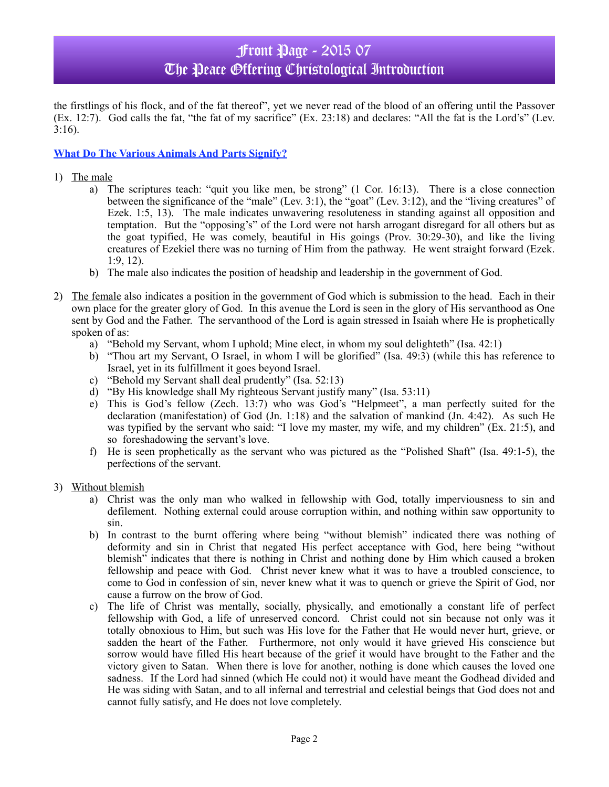# Front Page - 2015 07 The Peace Offering Christological Introduction

the firstlings of his flock, and of the fat thereof", yet we never read of the blood of an offering until the Passover (Ex. 12:7). God calls the fat, "the fat of my sacrifice" (Ex. 23:18) and declares: "All the fat is the Lord's" (Lev. 3:16).

### **What Do The Various Animals And Parts Signify?**

- 1) The male
	- a) The scriptures teach: "quit you like men, be strong" (1 Cor. 16:13). There is a close connection between the significance of the "male" (Lev. 3:1), the "goat" (Lev. 3:12), and the "living creatures" of Ezek. 1:5, 13). The male indicates unwavering resoluteness in standing against all opposition and temptation. But the "opposing's" of the Lord were not harsh arrogant disregard for all others but as the goat typified, He was comely, beautiful in His goings (Prov. 30:29-30), and like the living creatures of Ezekiel there was no turning of Him from the pathway. He went straight forward (Ezek. 1:9, 12).
	- b) The male also indicates the position of headship and leadership in the government of God.
- 2) The female also indicates a position in the government of God which is submission to the head. Each in their own place for the greater glory of God. In this avenue the Lord is seen in the glory of His servanthood as One sent by God and the Father. The servanthood of the Lord is again stressed in Isaiah where He is prophetically spoken of as:
	- a) "Behold my Servant, whom I uphold; Mine elect, in whom my soul delighteth" (Isa. 42:1)
	- b) "Thou art my Servant, O Israel, in whom I will be glorified" (Isa. 49:3) (while this has reference to Israel, yet in its fulfillment it goes beyond Israel.
	- c) "Behold my Servant shall deal prudently" (Isa. 52:13)
	- d) "By His knowledge shall My righteous Servant justify many" (Isa. 53:11)
	- e) This is God's fellow (Zech. 13:7) who was God's "Helpmeet", a man perfectly suited for the declaration (manifestation) of God (Jn. 1:18) and the salvation of mankind (Jn. 4:42). As such He was typified by the servant who said: "I love my master, my wife, and my children" (Ex. 21:5), and so foreshadowing the servant's love.
	- f) He is seen prophetically as the servant who was pictured as the "Polished Shaft" (Isa. 49:1-5), the perfections of the servant.
- 3) Without blemish
	- a) Christ was the only man who walked in fellowship with God, totally imperviousness to sin and defilement. Nothing external could arouse corruption within, and nothing within saw opportunity to sin.
	- b) In contrast to the burnt offering where being "without blemish" indicated there was nothing of deformity and sin in Christ that negated His perfect acceptance with God, here being "without blemish" indicates that there is nothing in Christ and nothing done by Him which caused a broken fellowship and peace with God. Christ never knew what it was to have a troubled conscience, to come to God in confession of sin, never knew what it was to quench or grieve the Spirit of God, nor cause a furrow on the brow of God.
	- c) The life of Christ was mentally, socially, physically, and emotionally a constant life of perfect fellowship with God, a life of unreserved concord. Christ could not sin because not only was it totally obnoxious to Him, but such was His love for the Father that He would never hurt, grieve, or sadden the heart of the Father. Furthermore, not only would it have grieved His conscience but sorrow would have filled His heart because of the grief it would have brought to the Father and the victory given to Satan. When there is love for another, nothing is done which causes the loved one sadness. If the Lord had sinned (which He could not) it would have meant the Godhead divided and He was siding with Satan, and to all infernal and terrestrial and celestial beings that God does not and cannot fully satisfy, and He does not love completely.